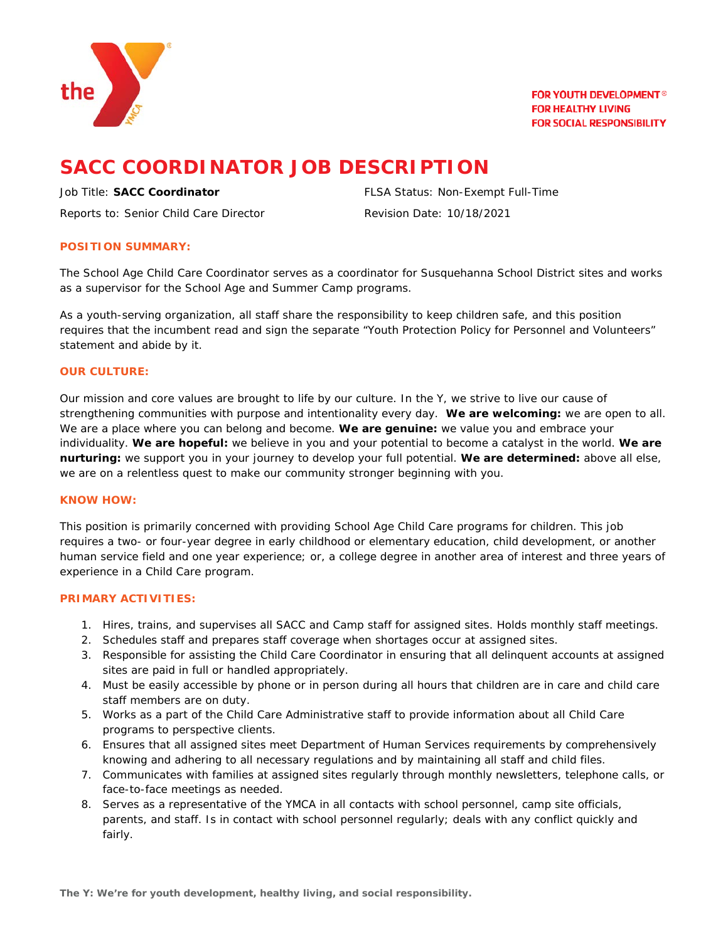

**FOR YOUTH DEVELOPMENT<sup>®</sup> FOR HEALTHY LIVING FOR SOCIAL RESPONSIBILITY** 

# **SACC COORDINATOR JOB DESCRIPTION**

Reports to: Senior Child Care Director **Revision Date: 10/18/2021** 

Job Title: **SACC Coordinator** FLSA Status: Non-Exempt Full-Time

# **POSITION SUMMARY:**

The School Age Child Care Coordinator serves as a coordinator for Susquehanna School District sites and works as a supervisor for the School Age and Summer Camp programs.

As a youth-serving organization, all staff share the responsibility to keep children safe, and this position requires that the incumbent read and sign the separate "Youth Protection Policy for Personnel and Volunteers" statement and abide by it.

# **OUR CULTURE:**

Our mission and core values are brought to life by our culture. In the Y, we strive to live our cause of strengthening communities with purpose and intentionality every day. **We are welcoming:** we are open to all. We are a place where you can belong and become. **We are genuine:** we value you and embrace your individuality. **We are hopeful:** we believe in you and your potential to become a catalyst in the world. **We are nurturing:** we support you in your journey to develop your full potential. **We are determined:** above all else, we are on a relentless quest to make our community stronger beginning with you.

### **KNOW HOW:**

This position is primarily concerned with providing School Age Child Care programs for children. This job requires a two- or four-year degree in early childhood or elementary education, child development, or another human service field and one year experience; or, a college degree in another area of interest and three years of experience in a Child Care program.

# **PRIMARY ACTIVITIES:**

- 1. Hires, trains, and supervises all SACC and Camp staff for assigned sites. Holds monthly staff meetings.
- 2. Schedules staff and prepares staff coverage when shortages occur at assigned sites.
- 3. Responsible for assisting the Child Care Coordinator in ensuring that all delinquent accounts at assigned sites are paid in full or handled appropriately.
- 4. Must be easily accessible by phone or in person during all hours that children are in care and child care staff members are on duty.
- 5. Works as a part of the Child Care Administrative staff to provide information about all Child Care programs to perspective clients.
- 6. Ensures that all assigned sites meet Department of Human Services requirements by comprehensively knowing and adhering to all necessary regulations and by maintaining all staff and child files.
- 7. Communicates with families at assigned sites regularly through monthly newsletters, telephone calls, or face-to-face meetings as needed.
- 8. Serves as a representative of the YMCA in all contacts with school personnel, camp site officials, parents, and staff. Is in contact with school personnel regularly; deals with any conflict quickly and fairly.